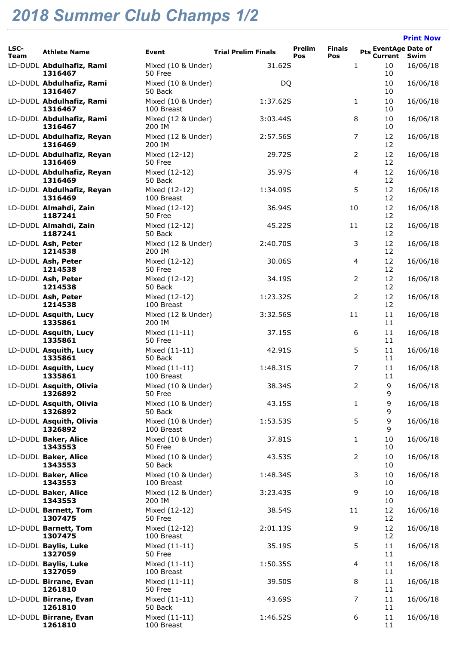## *2018 Summer Club Champs 1/2*

|                     |                                      |                                  |                            |                                              |                |                | <b>Print Now</b>             |
|---------------------|--------------------------------------|----------------------------------|----------------------------|----------------------------------------------|----------------|----------------|------------------------------|
| LSC-<br><b>Team</b> | <b>Athlete Name</b>                  | Event                            | <b>Trial Prelim Finals</b> | <b>Prelim</b><br><b>Finals</b><br>Pos<br>Pos |                | <b>Current</b> | Pts EventAge Date of<br>Swim |
|                     | LD-DUDL Abdulhafiz, Rami<br>1316467  | Mixed (10 & Under)<br>50 Free    | 31.62S                     |                                              | 1              | 10<br>10       | 16/06/18                     |
|                     | LD-DUDL Abdulhafiz, Rami<br>1316467  | Mixed (10 & Under)<br>50 Back    | DQ                         |                                              |                | 10<br>10       | 16/06/18                     |
|                     | LD-DUDL Abdulhafiz, Rami<br>1316467  | Mixed (10 & Under)<br>100 Breast | 1:37.62S                   |                                              | $\mathbf{1}$   | 10<br>10       | 16/06/18                     |
|                     | LD-DUDL Abdulhafiz, Rami<br>1316467  | Mixed (12 & Under)<br>200 IM     | 3:03.44S                   |                                              | 8              | 10<br>10       | 16/06/18                     |
|                     | LD-DUDL Abdulhafiz, Reyan<br>1316469 | Mixed (12 & Under)<br>200 IM     | 2:57.56S                   |                                              | 7              | 12<br>12       | 16/06/18                     |
|                     | LD-DUDL Abdulhafiz, Reyan<br>1316469 | Mixed (12-12)<br>50 Free         | 29.72S                     |                                              | 2              | 12<br>12       | 16/06/18                     |
|                     | LD-DUDL Abdulhafiz, Reyan<br>1316469 | Mixed (12-12)<br>50 Back         | 35.97S                     |                                              | 4              | 12<br>12       | 16/06/18                     |
|                     | LD-DUDL Abdulhafiz, Reyan<br>1316469 | Mixed (12-12)<br>100 Breast      | 1:34.09S                   |                                              | 5              | 12<br>12       | 16/06/18                     |
|                     | LD-DUDL Almahdi, Zain<br>1187241     | Mixed (12-12)<br>50 Free         | 36.94S                     |                                              | 10             | 12<br>12       | 16/06/18                     |
|                     | LD-DUDL Almahdi, Zain<br>1187241     | Mixed (12-12)<br>50 Back         | 45.22S                     |                                              | 11             | 12<br>12       | 16/06/18                     |
|                     | LD-DUDL Ash, Peter<br>1214538        | Mixed (12 & Under)<br>200 IM     | 2:40.70S                   |                                              | 3              | 12<br>12       | 16/06/18                     |
|                     | LD-DUDL Ash, Peter<br>1214538        | Mixed (12-12)<br>50 Free         | 30.06S                     |                                              | 4              | 12<br>12       | 16/06/18                     |
|                     | LD-DUDL Ash, Peter<br>1214538        | Mixed (12-12)<br>50 Back         | 34.19S                     |                                              | 2              | 12<br>12       | 16/06/18                     |
|                     | LD-DUDL Ash, Peter<br>1214538        | Mixed (12-12)<br>100 Breast      | 1:23.32S                   |                                              | $\overline{2}$ | 12<br>12       | 16/06/18                     |
|                     | LD-DUDL Asquith, Lucy<br>1335861     | Mixed (12 & Under)<br>200 IM     | 3:32.56S                   |                                              | 11             | 11<br>11       | 16/06/18                     |
|                     | LD-DUDL Asquith, Lucy<br>1335861     | Mixed (11-11)<br>50 Free         | 37.15S                     |                                              | 6              | 11<br>11       | 16/06/18                     |
|                     | LD-DUDL Asquith, Lucy<br>1335861     | Mixed (11-11)<br>50 Back         | 42.91S                     |                                              | 5              | 11<br>11       | 16/06/18                     |
|                     | LD-DUDL Asquith, Lucy<br>1335861     | Mixed (11-11)<br>100 Breast      | 1:48.31S                   |                                              | 7              | 11<br>11       | 16/06/18                     |
|                     | LD-DUDL Asquith, Olivia<br>1326892   | Mixed (10 & Under)<br>50 Free    | 38.34S                     |                                              | $\overline{2}$ | 9<br>9         | 16/06/18                     |
|                     | LD-DUDL Asquith, Olivia<br>1326892   | Mixed (10 & Under)<br>50 Back    | 43.15S                     |                                              | $\mathbf{1}$   | 9<br>9         | 16/06/18                     |
|                     | LD-DUDL Asquith, Olivia<br>1326892   | Mixed (10 & Under)<br>100 Breast | 1:53.53S                   |                                              | 5              | 9<br>9         | 16/06/18                     |
|                     | LD-DUDL Baker, Alice<br>1343553      | Mixed (10 & Under)<br>50 Free    | 37.81S                     |                                              | $\mathbf{1}$   | 10<br>10       | 16/06/18                     |
|                     | LD-DUDL Baker, Alice<br>1343553      | Mixed (10 & Under)<br>50 Back    | 43.53S                     |                                              | $\overline{2}$ | 10<br>10       | 16/06/18                     |
|                     | LD-DUDL Baker, Alice<br>1343553      | Mixed (10 & Under)<br>100 Breast | 1:48.34S                   |                                              | 3              | 10<br>10       | 16/06/18                     |
|                     | LD-DUDL Baker, Alice<br>1343553      | Mixed (12 & Under)<br>200 IM     | 3:23.43S                   |                                              | 9              | 10<br>10       | 16/06/18                     |
|                     | LD-DUDL Barnett, Tom<br>1307475      | Mixed (12-12)<br>50 Free         | 38.54S                     |                                              | 11             | 12<br>12       | 16/06/18                     |
|                     | LD-DUDL Barnett, Tom<br>1307475      | Mixed (12-12)<br>100 Breast      | 2:01.13S                   |                                              | 9              | 12<br>12       | 16/06/18                     |
|                     | LD-DUDL Baylis, Luke<br>1327059      | Mixed (11-11)<br>50 Free         | 35.19S                     |                                              | 5              | 11<br>11       | 16/06/18                     |
|                     | LD-DUDL Baylis, Luke<br>1327059      | Mixed (11-11)<br>100 Breast      | 1:50.35S                   |                                              | $\overline{4}$ | 11<br>11       | 16/06/18                     |
|                     | LD-DUDL Birrane, Evan<br>1261810     | Mixed (11-11)<br>50 Free         | 39.50S                     |                                              | 8              | 11<br>11       | 16/06/18                     |
|                     | LD-DUDL Birrane, Evan<br>1261810     | Mixed (11-11)<br>50 Back         | 43.69S                     |                                              | 7              | 11<br>11       | 16/06/18                     |
|                     | LD-DUDL Birrane, Evan<br>1261810     | Mixed (11-11)<br>100 Breast      | 1:46.52S                   |                                              | 6              | 11<br>11       | 16/06/18                     |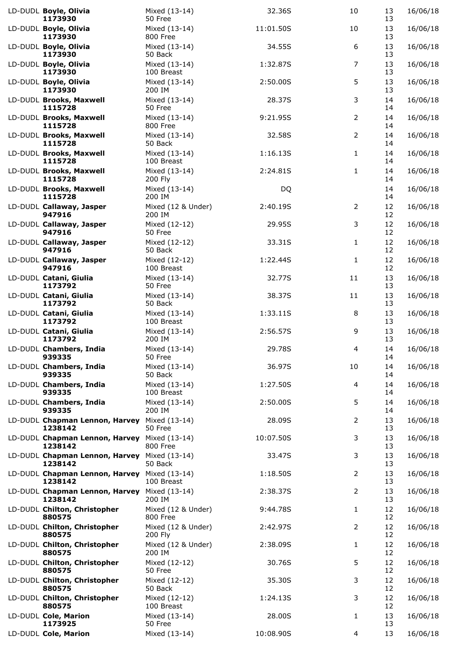| LD-DUDL Boyle, Olivia<br>1173930                        | Mixed (13-14)<br>50 Free       | 32.36S    | 10             | 13<br>13 | 16/06/18 |
|---------------------------------------------------------|--------------------------------|-----------|----------------|----------|----------|
| LD-DUDL Boyle, Olivia<br>1173930                        | Mixed (13-14)<br>800 Free      | 11:01.50S | 10             | 13<br>13 | 16/06/18 |
| LD-DUDL Boyle, Olivia<br>1173930                        | Mixed (13-14)<br>50 Back       | 34.55S    | 6              | 13<br>13 | 16/06/18 |
| LD-DUDL Boyle, Olivia<br>1173930                        | Mixed (13-14)<br>100 Breast    | 1:32.87S  | 7              | 13<br>13 | 16/06/18 |
| LD-DUDL Boyle, Olivia<br>1173930                        | Mixed (13-14)<br>200 IM        | 2:50.00S  | 5              | 13<br>13 | 16/06/18 |
| LD-DUDL Brooks, Maxwell<br>1115728                      | Mixed (13-14)<br>50 Free       | 28.37S    | 3              | 14<br>14 | 16/06/18 |
| LD-DUDL Brooks, Maxwell<br>1115728                      | Mixed (13-14)<br>800 Free      | 9:21.95S  | $\overline{2}$ | 14<br>14 | 16/06/18 |
| LD-DUDL Brooks, Maxwell<br>1115728                      | Mixed (13-14)<br>50 Back       | 32.58S    | $\overline{2}$ | 14<br>14 | 16/06/18 |
| LD-DUDL Brooks, Maxwell<br>1115728                      | Mixed (13-14)<br>100 Breast    | 1:16.13S  | $\mathbf{1}$   | 14<br>14 | 16/06/18 |
| LD-DUDL Brooks, Maxwell<br>1115728                      | Mixed (13-14)<br>200 Fly       | 2:24.81S  | $\mathbf{1}$   | 14<br>14 | 16/06/18 |
| LD-DUDL Brooks, Maxwell<br>1115728                      | Mixed (13-14)<br>200 IM        | DQ        |                | 14<br>14 | 16/06/18 |
| LD-DUDL Callaway, Jasper<br>947916                      | Mixed (12 & Under)<br>200 IM   | 2:40.19S  | $\overline{2}$ | 12<br>12 | 16/06/18 |
| LD-DUDL Callaway, Jasper<br>947916                      | Mixed (12-12)<br>50 Free       | 29.95S    | 3              | 12<br>12 | 16/06/18 |
| LD-DUDL Callaway, Jasper<br>947916                      | Mixed (12-12)<br>50 Back       | 33.31S    | $\mathbf{1}$   | 12<br>12 | 16/06/18 |
| LD-DUDL Callaway, Jasper<br>947916                      | Mixed (12-12)<br>100 Breast    | 1:22.44S  | 1              | 12<br>12 | 16/06/18 |
| LD-DUDL Catani, Giulia<br>1173792                       | Mixed (13-14)<br>50 Free       | 32.77S    | 11             | 13<br>13 | 16/06/18 |
| LD-DUDL Catani, Giulia<br>1173792                       | Mixed (13-14)<br>50 Back       | 38.37S    | 11             | 13<br>13 | 16/06/18 |
| LD-DUDL Catani, Giulia<br>1173792                       | Mixed (13-14)<br>100 Breast    | 1:33.11S  | 8              | 13<br>13 | 16/06/18 |
| LD-DUDL Catani, Giulia<br>1173792                       | Mixed (13-14)<br>200 IM        | 2:56.57S  | 9              | 13<br>13 | 16/06/18 |
| LD-DUDL Chambers, India<br>939335                       | Mixed (13-14)<br>50 Free       | 29.78S    | $\overline{4}$ | 14<br>14 | 16/06/18 |
| LD-DUDL Chambers, India<br>939335                       | Mixed (13-14)<br>50 Back       | 36.97S    | 10             | 14<br>14 | 16/06/18 |
| LD-DUDL Chambers, India<br>939335                       | Mixed (13-14)<br>100 Breast    | 1:27.50S  | 4              | 14<br>14 | 16/06/18 |
| LD-DUDL Chambers, India<br>939335                       | Mixed (13-14)<br>200 IM        | 2:50.00S  | 5              | 14<br>14 | 16/06/18 |
| LD-DUDL Chapman Lennon, Harvey Mixed (13-14)<br>1238142 | 50 Free                        | 28.09S    | $\overline{2}$ | 13<br>13 | 16/06/18 |
| LD-DUDL Chapman Lennon, Harvey Mixed (13-14)<br>1238142 | 800 Free                       | 10:07.50S | 3              | 13<br>13 | 16/06/18 |
| LD-DUDL Chapman Lennon, Harvey Mixed (13-14)<br>1238142 | 50 Back                        | 33.47S    | 3              | 13<br>13 | 16/06/18 |
| LD-DUDL Chapman Lennon, Harvey Mixed (13-14)<br>1238142 | 100 Breast                     | 1:18.50S  | $\overline{2}$ | 13<br>13 | 16/06/18 |
| LD-DUDL Chapman Lennon, Harvey Mixed (13-14)<br>1238142 | 200 IM                         | 2:38.37S  | $\overline{2}$ | 13<br>13 | 16/06/18 |
| LD-DUDL Chilton, Christopher<br>880575                  | Mixed (12 & Under)<br>800 Free | 9:44.78S  | $\mathbf{1}$   | 12<br>12 | 16/06/18 |
| LD-DUDL Chilton, Christopher<br>880575                  | Mixed (12 & Under)<br>200 Fly  | 2:42.97S  | $\overline{2}$ | 12<br>12 | 16/06/18 |
| LD-DUDL Chilton, Christopher<br>880575                  | Mixed (12 & Under)<br>200 IM   | 2:38.09S  | $\mathbf{1}$   | 12<br>12 | 16/06/18 |
| LD-DUDL Chilton, Christopher<br>880575                  | Mixed (12-12)<br>50 Free       | 30.76S    | 5              | 12<br>12 | 16/06/18 |
| LD-DUDL Chilton, Christopher<br>880575                  | Mixed (12-12)<br>50 Back       | 35.30S    | 3              | 12<br>12 | 16/06/18 |
| LD-DUDL Chilton, Christopher<br>880575                  | Mixed (12-12)<br>100 Breast    | 1:24.13S  | 3              | 12<br>12 | 16/06/18 |
| LD-DUDL Cole, Marion<br>1173925                         | Mixed (13-14)<br>50 Free       | 28.00S    | 1              | 13<br>13 | 16/06/18 |
| LD-DUDL Cole, Marion                                    | Mixed (13-14)                  | 10:08.90S | $\overline{4}$ | 13       | 16/06/18 |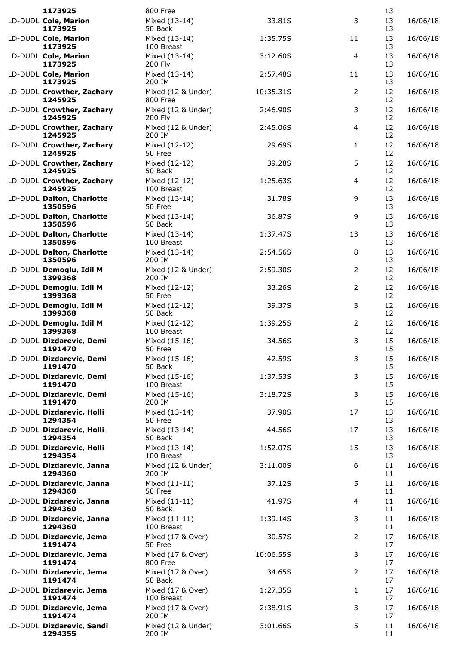| 1173925                              | 800 Free                        |           |                | 13       |          |
|--------------------------------------|---------------------------------|-----------|----------------|----------|----------|
| LD-DUDL Cole, Marion<br>1173925      | Mixed (13-14)<br>50 Back        | 33.81S    | 3              | 13<br>13 | 16/06/18 |
| LD-DUDL Cole, Marion<br>1173925      | Mixed (13-14)<br>100 Breast     | 1:35.75S  | 11             | 13<br>13 | 16/06/18 |
| LD-DUDL Cole, Marion<br>1173925      | Mixed (13-14)<br>200 Fly        | 3:12.60S  | $\overline{4}$ | 13<br>13 | 16/06/18 |
| LD-DUDL Cole, Marion<br>1173925      | Mixed (13-14)<br>200 IM         | 2:57.48S  | 11             | 13<br>13 | 16/06/18 |
| LD-DUDL Crowther, Zachary<br>1245925 | Mixed (12 & Under)<br>800 Free  | 10:35.31S | 2              | 12<br>12 | 16/06/18 |
| LD-DUDL Crowther, Zachary<br>1245925 | Mixed (12 & Under)<br>200 Fly   | 2:46.90S  | 3              | 12<br>12 | 16/06/18 |
| LD-DUDL Crowther, Zachary<br>1245925 | Mixed (12 & Under)<br>200 IM    | 2:45.06S  | 4              | 12<br>12 | 16/06/18 |
| LD-DUDL Crowther, Zachary<br>1245925 | Mixed (12-12)<br>50 Free        | 29.69S    | 1              | 12<br>12 | 16/06/18 |
| LD-DUDL Crowther, Zachary<br>1245925 | Mixed (12-12)<br>50 Back        | 39.28S    | 5              | 12<br>12 | 16/06/18 |
| LD-DUDL Crowther, Zachary<br>1245925 | Mixed (12-12)<br>100 Breast     | 1:25.63S  | 4              | 12<br>12 | 16/06/18 |
| LD-DUDL Dalton, Charlotte<br>1350596 | Mixed (13-14)<br>50 Free        | 31.78S    | 9              | 13<br>13 | 16/06/18 |
| LD-DUDL Dalton, Charlotte<br>1350596 | Mixed (13-14)<br>50 Back        | 36.87S    | 9              | 13<br>13 | 16/06/18 |
| LD-DUDL Dalton, Charlotte<br>1350596 | Mixed (13-14)<br>100 Breast     | 1:37.47S  | 13             | 13<br>13 | 16/06/18 |
| LD-DUDL Dalton, Charlotte<br>1350596 | Mixed (13-14)<br>200 IM         | 2:54.56S  | 8              | 13<br>13 | 16/06/18 |
| LD-DUDL Demoglu, Idil M<br>1399368   | Mixed (12 & Under)<br>200 IM    | 2:59.30S  | $\overline{2}$ | 12<br>12 | 16/06/18 |
| LD-DUDL Demoglu, Idil M<br>1399368   | Mixed (12-12)<br>50 Free        | 33.26S    | 2              | 12<br>12 | 16/06/18 |
| LD-DUDL Demoglu, Idil M<br>1399368   | Mixed (12-12)<br>50 Back        | 39.37S    | 3              | 12<br>12 | 16/06/18 |
| LD-DUDL Demoglu, Idil M<br>1399368   | Mixed (12-12)<br>100 Breast     | 1:39.25S  | $\overline{2}$ | 12<br>12 | 16/06/18 |
| LD-DUDL Dizdarevic, Demi<br>1191470  | Mixed (15-16)<br>50 Free        | 34.56S    | 3              | 15<br>15 | 16/06/18 |
| LD-DUDL Dizdarevic, Demi<br>1191470  | Mixed (15-16)<br>50 Back        | 42.59S    | 3              | 15<br>15 | 16/06/18 |
| LD-DUDL Dizdarevic, Demi<br>1191470  | Mixed (15-16)<br>100 Breast     | 1:37.53S  | 3              | 15<br>15 | 16/06/18 |
| LD-DUDL Dizdarevic, Demi<br>1191470  | Mixed (15-16)<br>200 IM         | 3:18.72S  | 3              | 15<br>15 | 16/06/18 |
| LD-DUDL Dizdarevic, Holli<br>1294354 | Mixed (13-14)<br>50 Free        | 37.90S    | 17             | 13<br>13 | 16/06/18 |
| LD-DUDL Dizdarevic, Holli<br>1294354 | Mixed (13-14)<br>50 Back        | 44.56S    | 17             | 13<br>13 | 16/06/18 |
| LD-DUDL Dizdarevic, Holli<br>1294354 | Mixed (13-14)<br>100 Breast     | 1:52.07S  | 15             | 13<br>13 | 16/06/18 |
| LD-DUDL Dizdarevic, Janna<br>1294360 | Mixed (12 & Under)<br>200 IM    | 3:11.00S  | 6              | 11<br>11 | 16/06/18 |
| LD-DUDL Dizdarevic, Janna<br>1294360 | Mixed (11-11)<br>50 Free        | 37.12S    | 5              | 11<br>11 | 16/06/18 |
| LD-DUDL Dizdarevic, Janna<br>1294360 | Mixed (11-11)<br>50 Back        | 41.97S    | 4              | 11<br>11 | 16/06/18 |
| LD-DUDL Dizdarevic, Janna<br>1294360 | Mixed (11-11)<br>100 Breast     | 1:39.14S  | 3              | 11<br>11 | 16/06/18 |
| LD-DUDL Dizdarevic, Jema<br>1191474  | Mixed (17 & Over)<br>50 Free    | 30.57S    | $\overline{2}$ | 17<br>17 | 16/06/18 |
| LD-DUDL Dizdarevic, Jema<br>1191474  | Mixed (17 & Over)<br>800 Free   | 10:06.55S | 3              | 17<br>17 | 16/06/18 |
| LD-DUDL Dizdarevic, Jema<br>1191474  | Mixed (17 & Over)<br>50 Back    | 34.65S    | 2              | 17<br>17 | 16/06/18 |
| LD-DUDL Dizdarevic, Jema<br>1191474  | Mixed (17 & Over)<br>100 Breast | 1:27.35S  | 1              | 17<br>17 | 16/06/18 |
| LD-DUDL Dizdarevic, Jema<br>1191474  | Mixed (17 & Over)<br>200 IM     | 2:38.91S  | 3              | 17<br>17 | 16/06/18 |
| LD-DUDL Dizdarevic, Sandi<br>1294355 | Mixed (12 & Under)<br>200 IM    | 3:01.66S  | 5              | 11<br>11 | 16/06/18 |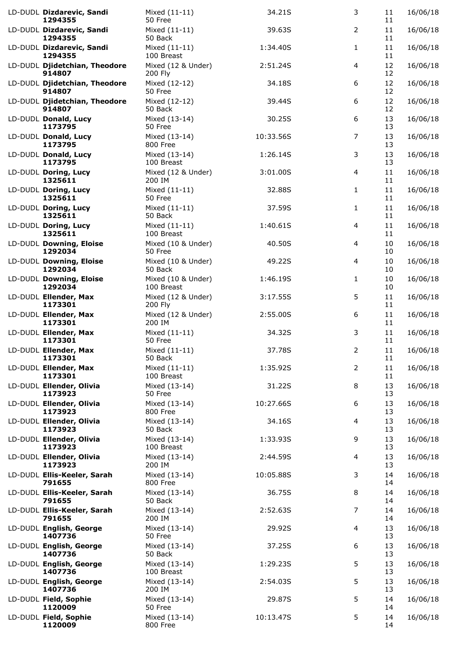| LD-DUDL Dizdarevic, Sandi<br>1294355    | Mixed (11-11)<br>50 Free         | 34.21S    | 3              | 11<br>11 | 16/06/18 |
|-----------------------------------------|----------------------------------|-----------|----------------|----------|----------|
| LD-DUDL Dizdarevic, Sandi<br>1294355    | Mixed (11-11)<br>50 Back         | 39.63S    | $\overline{2}$ | 11<br>11 | 16/06/18 |
| LD-DUDL Dizdarevic, Sandi<br>1294355    | Mixed (11-11)<br>100 Breast      | 1:34.40S  | 1              | 11<br>11 | 16/06/18 |
| LD-DUDL Djidetchian, Theodore<br>914807 | Mixed (12 & Under)<br>200 Fly    | 2:51.24S  | 4              | 12<br>12 | 16/06/18 |
| LD-DUDL Djidetchian, Theodore<br>914807 | Mixed (12-12)<br>50 Free         | 34.18S    | 6              | 12<br>12 | 16/06/18 |
| LD-DUDL Djidetchian, Theodore<br>914807 | Mixed (12-12)<br>50 Back         | 39.44S    | 6              | 12<br>12 | 16/06/18 |
| LD-DUDL Donald, Lucy<br>1173795         | Mixed (13-14)<br>50 Free         | 30.25S    | 6              | 13<br>13 | 16/06/18 |
| LD-DUDL Donald, Lucy<br>1173795         | Mixed (13-14)<br>800 Free        | 10:33.56S | 7              | 13<br>13 | 16/06/18 |
| LD-DUDL Donald, Lucy<br>1173795         | Mixed (13-14)<br>100 Breast      | 1:26.14S  | 3              | 13<br>13 | 16/06/18 |
| LD-DUDL Doring, Lucy<br>1325611         | Mixed (12 & Under)<br>200 IM     | 3:01.00S  | 4              | 11<br>11 | 16/06/18 |
| LD-DUDL Doring, Lucy<br>1325611         | Mixed (11-11)<br>50 Free         | 32.88S    | 1              | 11<br>11 | 16/06/18 |
| LD-DUDL Doring, Lucy<br>1325611         | Mixed (11-11)<br>50 Back         | 37.59S    | 1              | 11<br>11 | 16/06/18 |
| LD-DUDL Doring, Lucy<br>1325611         | Mixed (11-11)<br>100 Breast      | 1:40.61S  | 4              | 11<br>11 | 16/06/18 |
| LD-DUDL Downing, Eloise<br>1292034      | Mixed (10 & Under)<br>50 Free    | 40.50S    | 4              | 10<br>10 | 16/06/18 |
| LD-DUDL Downing, Eloise<br>1292034      | Mixed (10 & Under)<br>50 Back    | 49.22S    | 4              | 10<br>10 | 16/06/18 |
| LD-DUDL Downing, Eloise<br>1292034      | Mixed (10 & Under)<br>100 Breast | 1:46.19S  | 1              | 10<br>10 | 16/06/18 |
| LD-DUDL Ellender, Max<br>1173301        | Mixed (12 & Under)<br>200 Fly    | 3:17.55S  | 5              | 11<br>11 | 16/06/18 |
| LD-DUDL Ellender, Max<br>1173301        | Mixed (12 & Under)<br>200 IM     | 2:55.00S  | 6              | 11<br>11 | 16/06/18 |
| LD-DUDL Ellender, Max<br>1173301        | Mixed (11-11)<br>50 Free         | 34.32S    | 3              | 11<br>11 | 16/06/18 |
| LD-DUDL Ellender, Max<br>1173301        | Mixed (11-11)<br>50 Back         | 37.78S    | $\overline{2}$ | 11<br>11 | 16/06/18 |
| LD-DUDL Ellender, Max<br>1173301        | Mixed (11-11)<br>100 Breast      | 1:35.92S  | $\overline{2}$ | 11<br>11 | 16/06/18 |
| LD-DUDL Ellender, Olivia<br>1173923     | Mixed (13-14)<br>50 Free         | 31.22S    | 8              | 13<br>13 | 16/06/18 |
| LD-DUDL Ellender, Olivia<br>1173923     | Mixed (13-14)<br>800 Free        | 10:27.66S | 6              | 13<br>13 | 16/06/18 |
| LD-DUDL Ellender, Olivia<br>1173923     | Mixed (13-14)<br>50 Back         | 34.16S    | 4              | 13<br>13 | 16/06/18 |
| LD-DUDL Ellender, Olivia<br>1173923     | Mixed (13-14)<br>100 Breast      | 1:33.93S  | 9              | 13<br>13 | 16/06/18 |
| LD-DUDL Ellender, Olivia<br>1173923     | Mixed (13-14)<br>200 IM          | 2:44.59S  | 4              | 13<br>13 | 16/06/18 |
| LD-DUDL Ellis-Keeler, Sarah<br>791655   | Mixed (13-14)<br>800 Free        | 10:05.88S | 3              | 14<br>14 | 16/06/18 |
| LD-DUDL Ellis-Keeler, Sarah<br>791655   | Mixed (13-14)<br>50 Back         | 36.75S    | 8              | 14<br>14 | 16/06/18 |
| LD-DUDL Ellis-Keeler, Sarah<br>791655   | Mixed (13-14)<br>200 IM          | 2:52.63S  | 7              | 14<br>14 | 16/06/18 |
| LD-DUDL English, George<br>1407736      | Mixed (13-14)<br>50 Free         | 29.92S    | $\overline{4}$ | 13<br>13 | 16/06/18 |
| LD-DUDL English, George<br>1407736      | Mixed (13-14)<br>50 Back         | 37.25S    | 6              | 13<br>13 | 16/06/18 |
| LD-DUDL English, George<br>1407736      | Mixed (13-14)<br>100 Breast      | 1:29.23S  | 5              | 13<br>13 | 16/06/18 |
| LD-DUDL English, George<br>1407736      | Mixed (13-14)<br>200 IM          | 2:54.03S  | 5              | 13<br>13 | 16/06/18 |
| LD-DUDL Field, Sophie<br>1120009        | Mixed (13-14)<br>50 Free         | 29.87S    | 5              | 14<br>14 | 16/06/18 |
| LD-DUDL Field, Sophie<br>1120009        | Mixed (13-14)<br>800 Free        | 10:13.47S | 5              | 14<br>14 | 16/06/18 |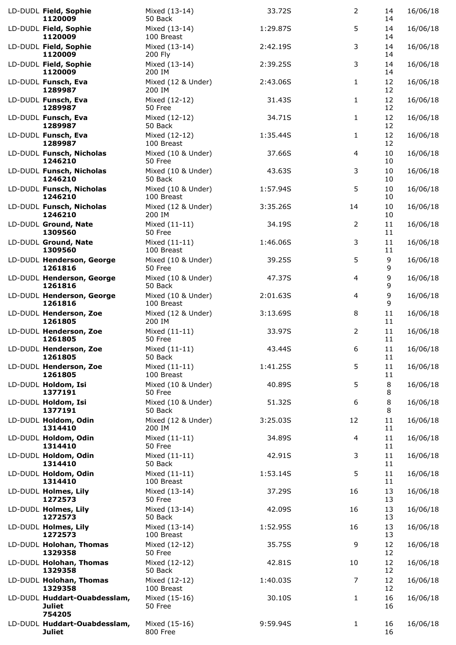| LD-DUDL Field, Sophie<br>1120009                        | Mixed (13-14)<br>50 Back         | 33.72S   | $\overline{2}$ | 14<br>14 | 16/06/18 |
|---------------------------------------------------------|----------------------------------|----------|----------------|----------|----------|
| LD-DUDL Field, Sophie<br>1120009                        | Mixed (13-14)<br>100 Breast      | 1:29.87S | 5              | 14<br>14 | 16/06/18 |
| LD-DUDL Field, Sophie<br>1120009                        | Mixed (13-14)<br>200 Fly         | 2:42.19S | 3              | 14<br>14 | 16/06/18 |
| LD-DUDL Field, Sophie<br>1120009                        | Mixed (13-14)<br>200 IM          | 2:39.25S | 3              | 14<br>14 | 16/06/18 |
| LD-DUDL Funsch, Eva<br>1289987                          | Mixed (12 & Under)<br>200 IM     | 2:43.06S | $\mathbf{1}$   | 12<br>12 | 16/06/18 |
| LD-DUDL Funsch, Eva<br>1289987                          | Mixed (12-12)<br>50 Free         | 31.43S   | 1              | 12<br>12 | 16/06/18 |
| LD-DUDL Funsch, Eva<br>1289987                          | Mixed (12-12)<br>50 Back         | 34.71S   | $\mathbf{1}$   | 12<br>12 | 16/06/18 |
| LD-DUDL Funsch, Eva<br>1289987                          | Mixed (12-12)<br>100 Breast      | 1:35.44S | $\mathbf{1}$   | 12<br>12 | 16/06/18 |
| LD-DUDL Funsch, Nicholas<br>1246210                     | Mixed (10 & Under)<br>50 Free    | 37.66S   | 4              | 10<br>10 | 16/06/18 |
| LD-DUDL Funsch, Nicholas<br>1246210                     | Mixed (10 & Under)<br>50 Back    | 43.63S   | 3              | 10<br>10 | 16/06/18 |
| LD-DUDL Funsch, Nicholas<br>1246210                     | Mixed (10 & Under)<br>100 Breast | 1:57.94S | 5              | 10<br>10 | 16/06/18 |
| LD-DUDL Funsch, Nicholas<br>1246210                     | Mixed (12 & Under)<br>200 IM     | 3:35.26S | 14             | 10<br>10 | 16/06/18 |
| LD-DUDL Ground, Nate<br>1309560                         | Mixed (11-11)<br>50 Free         | 34.19S   | $\overline{2}$ | 11<br>11 | 16/06/18 |
| LD-DUDL Ground, Nate<br>1309560                         | Mixed (11-11)<br>100 Breast      | 1:46.06S | 3              | 11<br>11 | 16/06/18 |
| LD-DUDL Henderson, George<br>1261816                    | Mixed (10 & Under)<br>50 Free    | 39.25S   | 5              | 9<br>9   | 16/06/18 |
| LD-DUDL Henderson, George<br>1261816                    | Mixed (10 & Under)<br>50 Back    | 47.37S   | 4              | 9<br>9   | 16/06/18 |
| LD-DUDL Henderson, George<br>1261816                    | Mixed (10 & Under)<br>100 Breast | 2:01.63S | 4              | 9<br>9   | 16/06/18 |
| LD-DUDL Henderson, Zoe<br>1261805                       | Mixed (12 & Under)<br>200 IM     | 3:13.69S | 8              | 11<br>11 | 16/06/18 |
| LD-DUDL Henderson, Zoe<br>1261805                       | Mixed (11-11)<br>50 Free         | 33.97S   | $\overline{2}$ | 11<br>11 | 16/06/18 |
| LD-DUDL Henderson, Zoe<br>1261805                       | Mixed (11-11)<br>50 Back         | 43.44S   | 6              | 11<br>11 | 16/06/18 |
| LD-DUDL Henderson, Zoe<br>1261805                       | Mixed (11-11)<br>100 Breast      | 1:41.25S | 5              | 11<br>11 | 16/06/18 |
| LD-DUDL Holdom, Isi<br>1377191                          | Mixed (10 & Under)<br>50 Free    | 40.89S   | 5              | 8<br>8   | 16/06/18 |
| LD-DUDL Holdom, Isi<br>1377191                          | Mixed (10 & Under)<br>50 Back    | 51.32S   | 6              | 8<br>8   | 16/06/18 |
| LD-DUDL Holdom, Odin<br>1314410                         | Mixed (12 & Under)<br>200 IM     | 3:25.03S | 12             | 11<br>11 | 16/06/18 |
| LD-DUDL Holdom, Odin<br>1314410                         | Mixed (11-11)<br>50 Free         | 34.89S   | 4              | 11<br>11 | 16/06/18 |
| LD-DUDL Holdom, Odin<br>1314410                         | Mixed (11-11)<br>50 Back         | 42.91S   | 3              | 11<br>11 | 16/06/18 |
| LD-DUDL Holdom, Odin<br>1314410                         | Mixed (11-11)<br>100 Breast      | 1:53.14S | 5              | 11<br>11 | 16/06/18 |
| LD-DUDL Holmes, Lily<br>1272573                         | Mixed (13-14)<br>50 Free         | 37.29S   | 16             | 13<br>13 | 16/06/18 |
| LD-DUDL Holmes, Lily<br>1272573                         | Mixed (13-14)<br>50 Back         | 42.09S   | 16             | 13<br>13 | 16/06/18 |
| LD-DUDL Holmes, Lily<br>1272573                         | Mixed (13-14)<br>100 Breast      | 1:52.95S | 16             | 13<br>13 | 16/06/18 |
| LD-DUDL Holohan, Thomas<br>1329358                      | Mixed (12-12)<br>50 Free         | 35.75S   | 9              | 12<br>12 | 16/06/18 |
| LD-DUDL Holohan, Thomas<br>1329358                      | Mixed (12-12)<br>50 Back         | 42.81S   | 10             | 12<br>12 | 16/06/18 |
| LD-DUDL Holohan, Thomas<br>1329358                      | Mixed (12-12)<br>100 Breast      | 1:40.03S | 7              | 12<br>12 | 16/06/18 |
| LD-DUDL Huddart-Ouabdesslam,<br><b>Juliet</b>           | Mixed (15-16)<br>50 Free         | 30.10S   | 1              | 16<br>16 | 16/06/18 |
| 754205<br>LD-DUDL Huddart-Ouabdesslam,<br><b>Juliet</b> | Mixed (15-16)<br>800 Free        | 9:59.94S | $\mathbf{1}$   | 16<br>16 | 16/06/18 |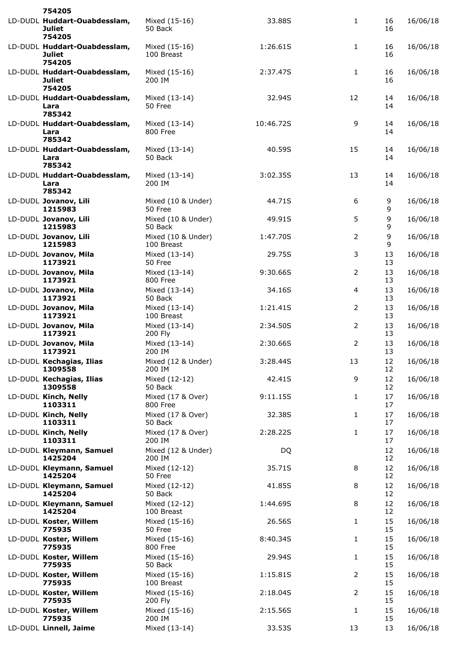| 754205                                                  |                                  |           |                |          |          |
|---------------------------------------------------------|----------------------------------|-----------|----------------|----------|----------|
| LD-DUDL Huddart-Ouabdesslam,<br><b>Juliet</b><br>754205 | Mixed (15-16)<br>50 Back         | 33.88S    | $\mathbf{1}$   | 16<br>16 | 16/06/18 |
| LD-DUDL Huddart-Ouabdesslam,<br><b>Juliet</b>           | Mixed (15-16)<br>100 Breast      | 1:26.61S  | $\mathbf{1}$   | 16<br>16 | 16/06/18 |
| 754205<br>LD-DUDL Huddart-Ouabdesslam,<br><b>Juliet</b> | Mixed (15-16)<br>200 IM          | 2:37.47S  | $\mathbf{1}$   | 16<br>16 | 16/06/18 |
| 754205<br>LD-DUDL Huddart-Ouabdesslam,<br>Lara          | Mixed (13-14)<br>50 Free         | 32.94S    | 12             | 14<br>14 | 16/06/18 |
| 785342<br>LD-DUDL Huddart-Ouabdesslam,<br>Lara          | Mixed (13-14)<br>800 Free        | 10:46.72S | 9              | 14<br>14 | 16/06/18 |
| 785342<br>LD-DUDL Huddart-Ouabdesslam,<br>Lara          | Mixed (13-14)<br>50 Back         | 40.59S    | 15             | 14<br>14 | 16/06/18 |
| 785342<br>LD-DUDL Huddart-Ouabdesslam,<br>Lara          | Mixed (13-14)<br>200 IM          | 3:02.35S  | 13             | 14<br>14 | 16/06/18 |
| 785342<br>LD-DUDL Jovanov, Lili<br>1215983              | Mixed (10 & Under)<br>50 Free    | 44.71S    | 6              | 9<br>9   | 16/06/18 |
| LD-DUDL Jovanov, Lili<br>1215983                        | Mixed (10 & Under)<br>50 Back    | 49.91S    | 5              | 9<br>9   | 16/06/18 |
| LD-DUDL Jovanov, Lili<br>1215983                        | Mixed (10 & Under)<br>100 Breast | 1:47.70S  | 2              | 9<br>9   | 16/06/18 |
| LD-DUDL Jovanov, Mila<br>1173921                        | Mixed (13-14)<br>50 Free         | 29.75S    | 3              | 13<br>13 | 16/06/18 |
| LD-DUDL Jovanov, Mila<br>1173921                        | Mixed (13-14)<br>800 Free        | 9:30.66S  | $\overline{2}$ | 13<br>13 | 16/06/18 |
| LD-DUDL Jovanov, Mila<br>1173921                        | Mixed (13-14)<br>50 Back         | 34.16S    | 4              | 13<br>13 | 16/06/18 |
| LD-DUDL Jovanov, Mila<br>1173921                        | Mixed (13-14)<br>100 Breast      | 1:21.41S  | 2              | 13<br>13 | 16/06/18 |
| LD-DUDL Jovanov, Mila<br>1173921                        | Mixed (13-14)<br>200 Fly         | 2:34.50S  | $\overline{2}$ | 13<br>13 | 16/06/18 |
| LD-DUDL Jovanov, Mila<br>1173921                        | Mixed (13-14)<br>200 IM          | 2:30.66S  | $\overline{2}$ | 13<br>13 | 16/06/18 |
| LD-DUDL Kechagias, Ilias<br>1309558                     | Mixed (12 & Under)<br>200 IM     | 3:28.44S  | 13             | 12<br>12 | 16/06/18 |
| LD-DUDL Kechagias, Ilias<br>1309558                     | Mixed (12-12)<br>50 Back         | 42.41S    | 9              | 12<br>12 | 16/06/18 |
| LD-DUDL Kinch, Nelly<br>1103311                         | Mixed (17 & Over)<br>800 Free    | 9:11.15S  | $\mathbf{1}$   | 17<br>17 | 16/06/18 |
| LD-DUDL Kinch, Nelly<br>1103311                         | Mixed (17 & Over)<br>50 Back     | 32.38S    | $\mathbf{1}$   | 17<br>17 | 16/06/18 |
| LD-DUDL Kinch, Nelly<br>1103311                         | Mixed (17 & Over)<br>200 IM      | 2:28.22S  | $\mathbf{1}$   | 17<br>17 | 16/06/18 |
| LD-DUDL Kleymann, Samuel<br>1425204                     | Mixed (12 & Under)<br>200 IM     | DQ        |                | 12<br>12 | 16/06/18 |
| LD-DUDL Kleymann, Samuel<br>1425204                     | Mixed (12-12)<br>50 Free         | 35.71S    | 8              | 12<br>12 | 16/06/18 |
| LD-DUDL Kleymann, Samuel<br>1425204                     | Mixed (12-12)<br>50 Back         | 41.85S    | 8              | 12<br>12 | 16/06/18 |
| LD-DUDL Kleymann, Samuel<br>1425204                     | Mixed (12-12)<br>100 Breast      | 1:44.69S  | 8              | 12<br>12 | 16/06/18 |
| LD-DUDL Koster, Willem<br>775935                        | Mixed (15-16)<br>50 Free         | 26.56S    | $\mathbf{1}$   | 15<br>15 | 16/06/18 |
| LD-DUDL Koster, Willem<br>775935                        | Mixed (15-16)<br>800 Free        | 8:40.34S  | $\mathbf{1}$   | 15<br>15 | 16/06/18 |
| LD-DUDL Koster, Willem<br>775935                        | Mixed (15-16)<br>50 Back         | 29.94S    | $\mathbf{1}$   | 15<br>15 | 16/06/18 |
| LD-DUDL Koster, Willem<br>775935                        | Mixed (15-16)<br>100 Breast      | 1:15.81S  | $\overline{2}$ | 15<br>15 | 16/06/18 |
| LD-DUDL Koster, Willem<br>775935                        | Mixed (15-16)<br>200 Fly         | 2:18.04S  | $\overline{2}$ | 15<br>15 | 16/06/18 |
| LD-DUDL Koster, Willem<br>775935                        | Mixed (15-16)<br>200 IM          | 2:15.56S  | $\mathbf{1}$   | 15<br>15 | 16/06/18 |
| LD-DUDL Linnell, Jaime                                  | Mixed (13-14)                    | 33.53S    | 13             | 13       | 16/06/18 |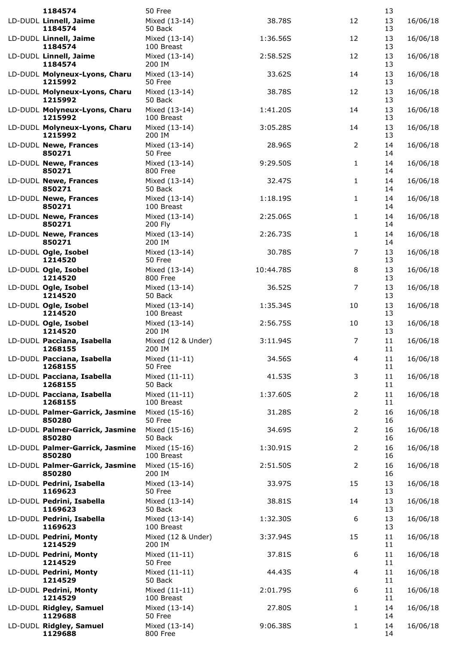| 1184574                                   | 50 Free                      |           |                | 13       |          |
|-------------------------------------------|------------------------------|-----------|----------------|----------|----------|
| LD-DUDL Linnell, Jaime<br>1184574         | Mixed (13-14)<br>50 Back     | 38.78S    | 12             | 13<br>13 | 16/06/18 |
| LD-DUDL Linnell, Jaime<br>1184574         | Mixed (13-14)<br>100 Breast  | 1:36.56S  | 12             | 13<br>13 | 16/06/18 |
| LD-DUDL Linnell, Jaime<br>1184574         | Mixed (13-14)<br>200 IM      | 2:58.52S  | 12             | 13<br>13 | 16/06/18 |
| LD-DUDL Molyneux-Lyons, Charu<br>1215992  | Mixed (13-14)<br>50 Free     | 33.62S    | 14             | 13<br>13 | 16/06/18 |
| LD-DUDL Molyneux-Lyons, Charu<br>1215992  | Mixed (13-14)<br>50 Back     | 38.78S    | 12             | 13<br>13 | 16/06/18 |
| LD-DUDL Molyneux-Lyons, Charu<br>1215992  | Mixed (13-14)<br>100 Breast  | 1:41.20S  | 14             | 13<br>13 | 16/06/18 |
| LD-DUDL Molyneux-Lyons, Charu<br>1215992  | Mixed (13-14)<br>200 IM      | 3:05.28S  | 14             | 13<br>13 | 16/06/18 |
| LD-DUDL Newe, Frances<br>850271           | Mixed (13-14)<br>50 Free     | 28.96S    | $\overline{2}$ | 14<br>14 | 16/06/18 |
| LD-DUDL Newe, Frances<br>850271           | Mixed (13-14)<br>800 Free    | 9:29.50S  | $\mathbf{1}$   | 14<br>14 | 16/06/18 |
| LD-DUDL Newe, Frances<br>850271           | Mixed (13-14)<br>50 Back     | 32.47S    | $\mathbf{1}$   | 14<br>14 | 16/06/18 |
| LD-DUDL Newe, Frances<br>850271           | Mixed (13-14)<br>100 Breast  | 1:18.19S  | $\mathbf{1}$   | 14<br>14 | 16/06/18 |
| LD-DUDL Newe, Frances<br>850271           | Mixed (13-14)<br>200 Fly     | 2:25.06S  | $\mathbf{1}$   | 14<br>14 | 16/06/18 |
| LD-DUDL Newe, Frances<br>850271           | Mixed (13-14)<br>200 IM      | 2:26.73S  | $\mathbf{1}$   | 14<br>14 | 16/06/18 |
| LD-DUDL Ogle, Isobel<br>1214520           | Mixed (13-14)<br>50 Free     | 30.78S    | 7              | 13<br>13 | 16/06/18 |
| LD-DUDL Ogle, Isobel<br>1214520           | Mixed (13-14)<br>800 Free    | 10:44.78S | 8              | 13<br>13 | 16/06/18 |
| LD-DUDL Ogle, Isobel<br>1214520           | Mixed (13-14)<br>50 Back     | 36.52S    | 7              | 13<br>13 | 16/06/18 |
| LD-DUDL Ogle, Isobel<br>1214520           | Mixed (13-14)<br>100 Breast  | 1:35.34S  | 10             | 13<br>13 | 16/06/18 |
| LD-DUDL Ogle, Isobel<br>1214520           | Mixed (13-14)<br>200 IM      | 2:56.75S  | 10             | 13<br>13 | 16/06/18 |
| LD-DUDL Pacciana, Isabella<br>1268155     | Mixed (12 & Under)<br>200 IM | 3:11.94S  | $\overline{7}$ | 11<br>11 | 16/06/18 |
| LD-DUDL Pacciana, Isabella<br>1268155     | Mixed (11-11)<br>50 Free     | 34.56S    | 4              | 11<br>11 | 16/06/18 |
| LD-DUDL Pacciana, Isabella<br>1268155     | Mixed (11-11)<br>50 Back     | 41.53S    | 3              | 11<br>11 | 16/06/18 |
| LD-DUDL Pacciana, Isabella<br>1268155     | Mixed (11-11)<br>100 Breast  | 1:37.60S  | $\overline{2}$ | 11<br>11 | 16/06/18 |
| LD-DUDL Palmer-Garrick, Jasmine<br>850280 | Mixed (15-16)<br>50 Free     | 31.28S    | $\overline{2}$ | 16<br>16 | 16/06/18 |
| LD-DUDL Palmer-Garrick, Jasmine<br>850280 | Mixed (15-16)<br>50 Back     | 34.69S    | $\overline{2}$ | 16<br>16 | 16/06/18 |
| LD-DUDL Palmer-Garrick, Jasmine<br>850280 | Mixed (15-16)<br>100 Breast  | 1:30.91S  | $\overline{2}$ | 16<br>16 | 16/06/18 |
| LD-DUDL Palmer-Garrick, Jasmine<br>850280 | Mixed (15-16)<br>200 IM      | 2:51.50S  | $\overline{2}$ | 16<br>16 | 16/06/18 |
| LD-DUDL Pedrini, Isabella<br>1169623      | Mixed (13-14)<br>50 Free     | 33.97S    | 15             | 13<br>13 | 16/06/18 |
| LD-DUDL Pedrini, Isabella<br>1169623      | Mixed (13-14)<br>50 Back     | 38.81S    | 14             | 13<br>13 | 16/06/18 |
| LD-DUDL Pedrini, Isabella<br>1169623      | Mixed (13-14)<br>100 Breast  | 1:32.30S  | 6              | 13<br>13 | 16/06/18 |
| LD-DUDL Pedrini, Monty<br>1214529         | Mixed (12 & Under)<br>200 IM | 3:37.94S  | 15             | 11<br>11 | 16/06/18 |
| LD-DUDL Pedrini, Monty<br>1214529         | Mixed (11-11)<br>50 Free     | 37.81S    | 6              | 11<br>11 | 16/06/18 |
| LD-DUDL Pedrini, Monty<br>1214529         | Mixed (11-11)<br>50 Back     | 44.43S    | 4              | 11<br>11 | 16/06/18 |
| LD-DUDL Pedrini, Monty<br>1214529         | Mixed (11-11)<br>100 Breast  | 2:01.79S  | 6              | 11<br>11 | 16/06/18 |
| LD-DUDL Ridgley, Samuel<br>1129688        | Mixed (13-14)<br>50 Free     | 27.80S    | $\mathbf{1}$   | 14<br>14 | 16/06/18 |
| LD-DUDL Ridgley, Samuel<br>1129688        | Mixed (13-14)<br>800 Free    | 9:06.38S  | $\mathbf{1}$   | 14<br>14 | 16/06/18 |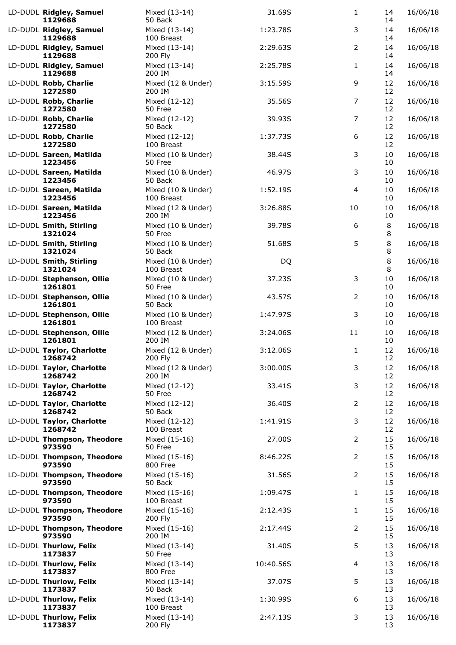| LD-DUDL Ridgley, Samuel<br>1129688   | Mixed (13-14)<br>50 Back         | 31.69S    | 1              | 14<br>14 | 16/06/18 |
|--------------------------------------|----------------------------------|-----------|----------------|----------|----------|
| LD-DUDL Ridgley, Samuel<br>1129688   | Mixed (13-14)<br>100 Breast      | 1:23.78S  | 3              | 14<br>14 | 16/06/18 |
| LD-DUDL Ridgley, Samuel<br>1129688   | Mixed (13-14)<br>200 Fly         | 2:29.63S  | $\overline{2}$ | 14<br>14 | 16/06/18 |
| LD-DUDL Ridgley, Samuel<br>1129688   | Mixed (13-14)<br>200 IM          | 2:25.78S  | 1              | 14<br>14 | 16/06/18 |
| LD-DUDL Robb, Charlie<br>1272580     | Mixed (12 & Under)<br>200 IM     | 3:15.59S  | 9              | 12<br>12 | 16/06/18 |
| LD-DUDL Robb, Charlie<br>1272580     | Mixed (12-12)<br>50 Free         | 35.56S    | $\overline{7}$ | 12<br>12 | 16/06/18 |
| LD-DUDL Robb, Charlie<br>1272580     | Mixed (12-12)<br>50 Back         | 39.93S    | 7              | 12<br>12 | 16/06/18 |
| LD-DUDL Robb, Charlie<br>1272580     | Mixed (12-12)<br>100 Breast      | 1:37.73S  | 6              | 12<br>12 | 16/06/18 |
| LD-DUDL Sareen, Matilda<br>1223456   | Mixed (10 & Under)<br>50 Free    | 38.44S    | 3              | 10<br>10 | 16/06/18 |
| LD-DUDL Sareen, Matilda<br>1223456   | Mixed (10 & Under)<br>50 Back    | 46.97S    | 3              | 10<br>10 | 16/06/18 |
| LD-DUDL Sareen, Matilda<br>1223456   | Mixed (10 & Under)<br>100 Breast | 1:52.19S  | 4              | 10<br>10 | 16/06/18 |
| LD-DUDL Sareen, Matilda<br>1223456   | Mixed (12 & Under)<br>200 IM     | 3:26.88S  | 10             | 10<br>10 | 16/06/18 |
| LD-DUDL Smith, Stirling<br>1321024   | Mixed (10 & Under)<br>50 Free    | 39.78S    | 6              | 8<br>8   | 16/06/18 |
| LD-DUDL Smith, Stirling<br>1321024   | Mixed (10 & Under)<br>50 Back    | 51.68S    | 5              | 8<br>8   | 16/06/18 |
| LD-DUDL Smith, Stirling<br>1321024   | Mixed (10 & Under)<br>100 Breast | DQ        |                | 8<br>8   | 16/06/18 |
| LD-DUDL Stephenson, Ollie<br>1261801 | Mixed (10 & Under)<br>50 Free    | 37.23S    | 3              | 10<br>10 | 16/06/18 |
| LD-DUDL Stephenson, Ollie<br>1261801 | Mixed (10 & Under)<br>50 Back    | 43.57S    | $\overline{2}$ | 10<br>10 | 16/06/18 |
| LD-DUDL Stephenson, Ollie<br>1261801 | Mixed (10 & Under)<br>100 Breast | 1:47.97S  | 3              | 10<br>10 | 16/06/18 |
| LD-DUDL Stephenson, Ollie<br>1261801 | Mixed (12 & Under)<br>200 IM     | 3:24.06S  | 11             | 10<br>10 | 16/06/18 |
| LD-DUDL Taylor, Charlotte<br>1268742 | Mixed (12 & Under)<br>200 Fly    | 3:12.06S  | $\mathbf{1}$   | 12<br>12 | 16/06/18 |
| LD-DUDL Taylor, Charlotte<br>1268742 | Mixed (12 & Under)<br>200 IM     | 3:00.005  | 3              | 12<br>12 | 16/06/18 |
| LD-DUDL Taylor, Charlotte<br>1268742 | Mixed (12-12)<br>50 Free         | 33.41S    | 3              | 12<br>12 | 16/06/18 |
| LD-DUDL Taylor, Charlotte<br>1268742 | Mixed (12-12)<br>50 Back         | 36.40S    | $\overline{2}$ | 12<br>12 | 16/06/18 |
| LD-DUDL Taylor, Charlotte<br>1268742 | Mixed (12-12)<br>100 Breast      | 1:41.91S  | 3              | 12<br>12 | 16/06/18 |
| LD-DUDL Thompson, Theodore<br>973590 | Mixed (15-16)<br>50 Free         | 27.00S    | $\overline{2}$ | 15<br>15 | 16/06/18 |
| LD-DUDL Thompson, Theodore<br>973590 | Mixed (15-16)<br>800 Free        | 8:46.22S  | $\overline{2}$ | 15<br>15 | 16/06/18 |
| LD-DUDL Thompson, Theodore<br>973590 | Mixed (15-16)<br>50 Back         | 31.56S    | $\overline{2}$ | 15<br>15 | 16/06/18 |
| LD-DUDL Thompson, Theodore<br>973590 | Mixed (15-16)<br>100 Breast      | 1:09.47S  | $\mathbf{1}$   | 15<br>15 | 16/06/18 |
| LD-DUDL Thompson, Theodore<br>973590 | Mixed (15-16)<br>200 Fly         | 2:12.43S  | $\mathbf{1}$   | 15<br>15 | 16/06/18 |
| LD-DUDL Thompson, Theodore<br>973590 | Mixed (15-16)<br>200 IM          | 2:17.44S  | $\overline{2}$ | 15<br>15 | 16/06/18 |
| LD-DUDL Thurlow, Felix<br>1173837    | Mixed (13-14)<br>50 Free         | 31.40S    | 5              | 13<br>13 | 16/06/18 |
| LD-DUDL Thurlow, Felix<br>1173837    | Mixed (13-14)<br>800 Free        | 10:40.56S | $\overline{4}$ | 13<br>13 | 16/06/18 |
| LD-DUDL Thurlow, Felix<br>1173837    | Mixed (13-14)<br>50 Back         | 37.07S    | 5              | 13<br>13 | 16/06/18 |
| LD-DUDL Thurlow, Felix<br>1173837    | Mixed (13-14)<br>100 Breast      | 1:30.99S  | 6              | 13<br>13 | 16/06/18 |
| LD-DUDL Thurlow, Felix<br>1173837    | Mixed (13-14)<br>200 Fly         | 2:47.13S  | 3              | 13<br>13 | 16/06/18 |